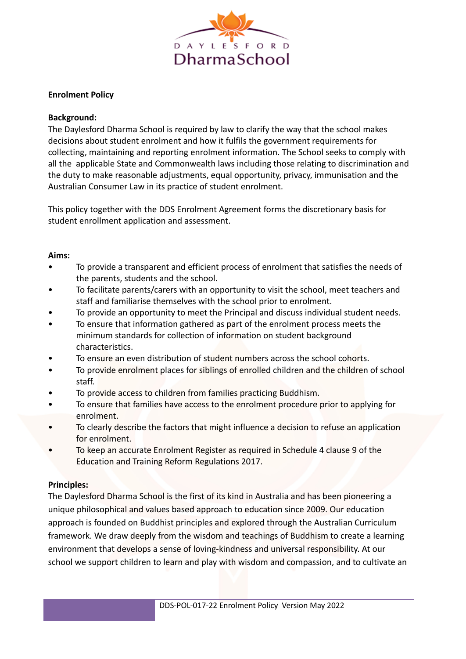

## **Enrolment Policy**

### **Background:**

The Daylesford Dharma School is required by law to clarify the way that the school makes decisions about student enrolment and how it fulfils the government requirements for collecting, maintaining and reporting enrolment information. The School seeks to comply with all the applicable State and Commonwealth laws including those relating to discrimination and the duty to make reasonable adjustments, equal opportunity, privacy, immunisation and the Australian Consumer Law in its practice of student enrolment.

This policy together with the DDS Enrolment Agreement forms the discretionary basis for student enrollment application and assessment.

#### **Aims:**

- To provide a transparent and efficient process of enrolment that satisfies the needs of the parents, students and the school.
- To facilitate parents/carers with an opportunity to visit the school, meet teachers and staff and familiarise themselves with the school prior to enrolment.
- To provide an opportunity to meet the Principal and discuss individual student needs.
- To ensure that information gathered as part of the enrolment process meets the minimum standards for collection of information on student background characteristics.
- To ensure an even distribution of student numbers across the school cohorts.
- To provide enrolment places for siblings of enrolled children and the children of school staff.
- To provide access to children from families practicing Buddhism.
- To ensure that families have access to the enrolment procedure prior to applying for enrolment.
- To clearly describe the factors that might influence a decision to refuse an application for enrolment.
- To keep an accurate Enrolment Register as required in Schedule 4 clause 9 of the Education and Training Reform Regulations 2017.

#### **Principles:**

The Daylesford Dharma School is the first of its kind in Australia and has been pioneering a unique philosophical and values based approach to education since 2009. Our education approach is founded on Buddhist principles and explored through the Australian Curriculum framework. We draw deeply from the wisdom and teachings of Buddhism to create a learning environment that develops a sense of loving-kindness and universal responsibility. At our school we support children to learn and play with wisdom and compassion, and to cultivate an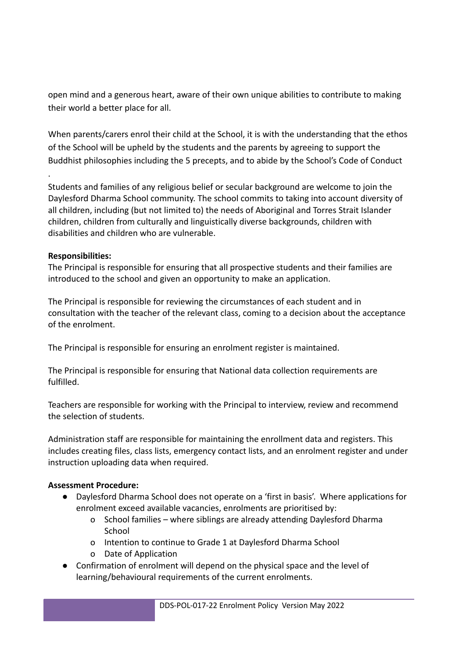open mind and a generous heart, aware of their own unique abilities to contribute to making their world a better place for all.

When parents/carers enrol their child at the School, it is with the understanding that the ethos of the School will be upheld by the students and the parents by agreeing to support the Buddhist philosophies including the 5 precepts, and to abide by the School's Code of Conduct

Students and families of any religious belief or secular background are welcome to join the Daylesford Dharma School community. The school commits to taking into account diversity of all children, including (but not limited to) the needs of Aboriginal and Torres Strait Islander children, children from culturally and linguistically diverse backgrounds, children with disabilities and children who are vulnerable.

# **Responsibilities:**

.

The Principal is responsible for ensuring that all prospective students and their families are introduced to the school and given an opportunity to make an application.

The Principal is responsible for reviewing the circumstances of each student and in consultation with the teacher of the relevant class, coming to a decision about the acceptance of the enrolment.

The Principal is responsible for ensuring an enrolment register is maintained.

The Principal is responsible for ensuring that National data collection requirements are fulfilled.

Teachers are responsible for working with the Principal to interview, review and recommend the selection of students.

Administration staff are responsible for maintaining the enrollment data and registers. This includes creating files, class lists, emergency contact lists, and an enrolment register and under instruction uploading data when required.

# **Assessment Procedure:**

- Daylesford Dharma School does not operate on a 'first in basis'. Where applications for enrolment exceed available vacancies, enrolments are prioritised by:
	- o School families where siblings are already attending Daylesford Dharma **School**
	- o Intention to continue to Grade 1 at Daylesford Dharma School
	- o Date of Application
- Confirmation of enrolment will depend on the physical space and the level of learning/behavioural requirements of the current enrolments.